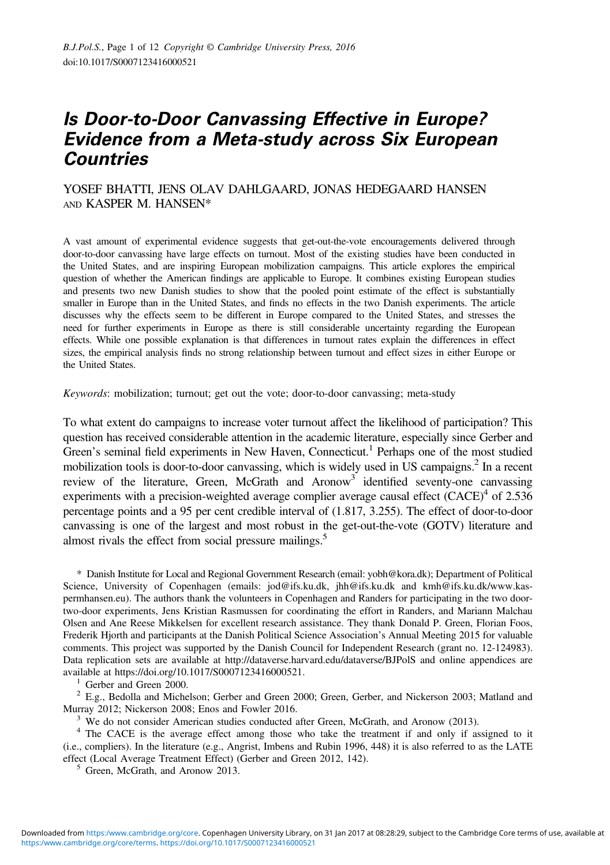# Is Door-to-Door Canvassing Effective in Europe? Evidence from a Meta-study across Six European **Countries**

YOSEF BHATTI, JENS OLAV DAHLGAARD, JONAS HEDEGAARD HANSEN AND KASPER M. HANSEN\*

A vast amount of experimental evidence suggests that get-out-the-vote encouragements delivered through door-to-door canvassing have large effects on turnout. Most of the existing studies have been conducted in the United States, and are inspiring European mobilization campaigns. This article explores the empirical question of whether the American findings are applicable to Europe. It combines existing European studies and presents two new Danish studies to show that the pooled point estimate of the effect is substantially smaller in Europe than in the United States, and finds no effects in the two Danish experiments. The article discusses why the effects seem to be different in Europe compared to the United States, and stresses the need for further experiments in Europe as there is still considerable uncertainty regarding the European effects. While one possible explanation is that differences in turnout rates explain the differences in effect sizes, the empirical analysis finds no strong relationship between turnout and effect sizes in either Europe or the United States.

Keywords: mobilization; turnout; get out the vote; door-to-door canvassing; meta-study

To what extent do campaigns to increase voter turnout affect the likelihood of participation? This question has received considerable attention in the academic literature, especially since Gerber and Green's seminal field experiments in New Haven, Connecticut.<sup>1</sup> Perhaps one of the most studied mobilization tools is door-to-door canvassing, which is widely used in US campaigns.<sup>2</sup> In a recent review of the literature, Green, McGrath and Aronow<sup>3</sup> identified seventy-one canvassing experiments with a precision-weighted average complier average causal effect  $(CACE)^4$  of 2.536 percentage points and a 95 per cent credible interval of (1.817, 3.255). The effect of door-to-door canvassing is one of the largest and most robust in the get-out-the-vote (GOTV) literature and almost rivals the effect from social pressure mailings.<sup>5</sup>

\* Danish Institute for Local and Regional Government Research (email: [yobh@kora.dk](mailto:yobh@kora.dk)); Department of Political Science, University of Copenhagen (emails: [jod@ifs.ku.dk](mailto:jod@ifs.ku.dk), [jhh@ifs.ku.dk](mailto:jhh@ifs.ku.dk) and [kmh@ifs.ku.dk/www.kas](kmh@ifs.ku.dk/www.kaspermhansen.eu)[permhansen.eu\)](kmh@ifs.ku.dk/www.kaspermhansen.eu). The authors thank the volunteers in Copenhagen and Randers for participating in the two doortwo-door experiments, Jens Kristian Rasmussen for coordinating the effort in Randers, and Mariann Malchau Olsen and Ane Reese Mikkelsen for excellent research assistance. They thank Donald P. Green, Florian Foos, Frederik Hjorth and participants at the Danish Political Science Association's Annual Meeting 2015 for valuable comments. This project was supported by the Danish Council for Independent Research (grant no. 12-124983). Data replication sets are available at<http://dataverse.harvard.edu/dataverse/BJPolS> and online appendices are

<sup>1</sup> Gerber and Green [2000](#page-10-0).<br><sup>2</sup> E.g., Bedolla and Michelson; Gerber and Green 2000; Green, Gerber, and Nickerson [2003;](#page-10-0) Matland and Murray 2012; Nickerson 2008; Enos and Fowler 2016.

 $3$  We do not consider American studies conducted after Green, McGrath, and Aronow ([2013\)](#page-10-0).<br><sup>4</sup> The CACE is the average effect among those who take the treatment if and only if assigned to it (i.e., compliers). In the literature (e.g., Angrist, Imbens and Rubin [1996](#page-9-0), 448) it is also referred to as the LATE effect (Local Average Treatment Effect) (Gerber and Green [2012,](#page-10-0) 142).<br><sup>5</sup> Green, McGrath, and Aronow [2013](#page-10-0).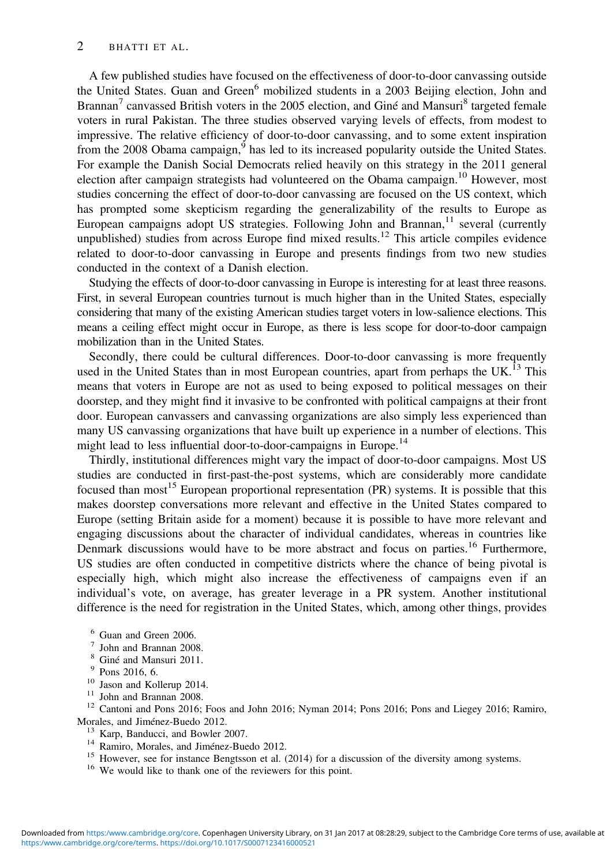A few published studies have focused on the effectiveness of door-to-door canvassing outside the United States. Guan and Green<sup>6</sup> mobilized students in a 2003 Beijing election, John and Brannan<sup>7</sup> canvassed British voters in the 2005 election, and Giné and Mansuri<sup>8</sup> targeted female voters in rural Pakistan. The three studies observed varying levels of effects, from modest to impressive. The relative efficiency of door-to-door canvassing, and to some extent inspiration from the 2008 Obama campaign,<sup>9</sup> has led to its increased popularity outside the United States. For example the Danish Social Democrats relied heavily on this strategy in the 2011 general election after campaign strategists had volunteered on the Obama campaign.<sup>10</sup> However, most studies concerning the effect of door-to-door canvassing are focused on the US context, which has prompted some skepticism regarding the generalizability of the results to Europe as European campaigns adopt US strategies. Following John and Brannan,<sup>11</sup> several (currently unpublished) studies from across Europe find mixed results.<sup>12</sup> This article compiles evidence related to door-to-door canvassing in Europe and presents findings from two new studies conducted in the context of a Danish election.

Studying the effects of door-to-door canvassing in Europe is interesting for at least three reasons. First, in several European countries turnout is much higher than in the United States, especially considering that many of the existing American studies target voters in low-salience elections. This means a ceiling effect might occur in Europe, as there is less scope for door-to-door campaign mobilization than in the United States.

Secondly, there could be cultural differences. Door-to-door canvassing is more frequently used in the United States than in most European countries, apart from perhaps the UK.<sup>13</sup> This means that voters in Europe are not as used to being exposed to political messages on their doorstep, and they might find it invasive to be confronted with political campaigns at their front door. European canvassers and canvassing organizations are also simply less experienced than many US canvassing organizations that have built up experience in a number of elections. This might lead to less influential door-to-door-campaigns in Europe.<sup>14</sup>

Thirdly, institutional differences might vary the impact of door-to-door campaigns. Most US studies are conducted in first-past-the-post systems, which are considerably more candidate focused than most<sup>15</sup> European proportional representation  $(PR)$  systems. It is possible that this makes doorstep conversations more relevant and effective in the United States compared to Europe (setting Britain aside for a moment) because it is possible to have more relevant and engaging discussions about the character of individual candidates, whereas in countries like Denmark discussions would have to be more abstract and focus on parties.<sup>16</sup> Furthermore, US studies are often conducted in competitive districts where the chance of being pivotal is especially high, which might also increase the effectiveness of campaigns even if an individual's vote, on average, has greater leverage in a PR system. Another institutional difference is the need for registration in the United States, which, among other things, provides

- 
- 
- 
- 
- 
- 
- <sup>6</sup> Guan and Green [2006.](#page-10-0)<br>
<sup>7</sup> John and Brannan [2008.](#page-11-0)<br>
<sup>8</sup> Giné and Mansuri [2011](#page-10-0).<br>
<sup>9</sup> Pons [2016,](#page-11-0) 6.<br>
<sup>10</sup> Jason and Kollerup [2014.](#page-10-0)<br>
<sup>11</sup> John and Brannan 2008.<br>
<sup>12</sup> Cantoni and Pons [2016](#page-11-0); Foos and John 2016; Nyman [2014;](#page-11-0) Morales, and Jiménez-Buedo [2012.](#page-11-0)<br><sup>13</sup> Karp, Banducci, and Bowler [2007](#page-11-0).<br><sup>14</sup> Ramiro, Morales, and Jiménez-Buedo 2012.<br><sup>15</sup> However, see for instance Bengtsson et al. ([2014\)](#page-9-0) for a discussion of the diversity among systems.<br><sup></sup>
	-
	-
	-
	-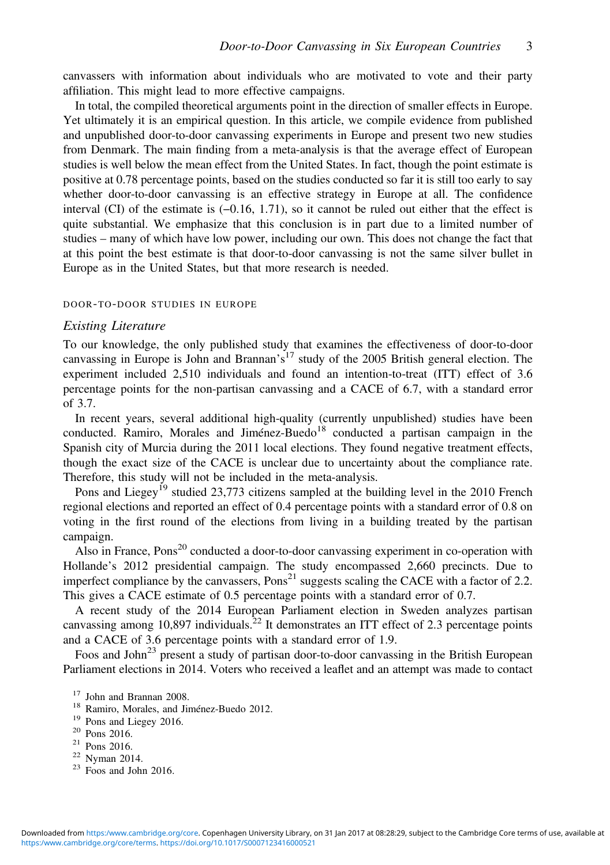canvassers with information about individuals who are motivated to vote and their party affiliation. This might lead to more effective campaigns.

In total, the compiled theoretical arguments point in the direction of smaller effects in Europe. Yet ultimately it is an empirical question. In this article, we compile evidence from published and unpublished door-to-door canvassing experiments in Europe and present two new studies from Denmark. The main finding from a meta-analysis is that the average effect of European studies is well below the mean effect from the United States. In fact, though the point estimate is positive at 0.78 percentage points, based on the studies conducted so far it is still too early to say whether door-to-door canvassing is an effective strategy in Europe at all. The confidence interval (CI) of the estimate is (−0.16, 1.71), so it cannot be ruled out either that the effect is quite substantial. We emphasize that this conclusion is in part due to a limited number of studies – many of which have low power, including our own. This does not change the fact that at this point the best estimate is that door-to-door canvassing is not the same silver bullet in Europe as in the United States, but that more research is needed.

#### DOOR-TO-DOOR STUDIES IN EUROPE

## Existing Literature

To our knowledge, the only published study that examines the effectiveness of door-to-door canvassing in Europe is John and Brannan's <sup>17</sup> study of the 2005 British general election. The experiment included 2,510 individuals and found an intention-to-treat (ITT) effect of 3.6 percentage points for the non-partisan canvassing and a CACE of 6.7, with a standard error of 3.7.

In recent years, several additional high-quality (currently unpublished) studies have been conducted. Ramiro, Morales and Jiménez-Buedo<sup>18</sup> conducted a partisan campaign in the Spanish city of Murcia during the 2011 local elections. They found negative treatment effects, though the exact size of the CACE is unclear due to uncertainty about the compliance rate. Therefore, this study will not be included in the meta-analysis.

Pons and Liegey<sup>19</sup> studied 23,773 citizens sampled at the building level in the 2010 French regional elections and reported an effect of 0.4 percentage points with a standard error of 0.8 on voting in the first round of the elections from living in a building treated by the partisan campaign.

Also in France, Pons<sup>20</sup> conducted a door-to-door canvassing experiment in co-operation with Hollande's 2012 presidential campaign. The study encompassed 2,660 precincts. Due to imperfect compliance by the canvassers,  $Pons<sup>21</sup>$  suggests scaling the CACE with a factor of 2.2. This gives a CACE estimate of 0.5 percentage points with a standard error of 0.7.

A recent study of the 2014 European Parliament election in Sweden analyzes partisan canvassing among  $10,897$  individuals.<sup>22</sup> It demonstrates an ITT effect of 2.3 percentage points and a CACE of 3.6 percentage points with a standard error of 1.9.

Foos and John<sup>23</sup> present a study of partisan door-to-door canvassing in the British European Parliament elections in 2014. Voters who received a leaflet and an attempt was made to contact

- <sup>17</sup> John and Brannan [2008](#page-11-0).<br><sup>18</sup> Ramiro, Morales, and Jiménez-Buedo [2012.](#page-11-0)<br><sup>19</sup> Pons and Liegey [2016](#page-10-0).<br><sup>20</sup> Pons 2016.<br><sup>21</sup> Pons 2016.<br><sup>22</sup> Nyman [2014.](#page-11-0)<br><sup>23</sup> Foos and John 2016.
- 
- 
- 
- 
-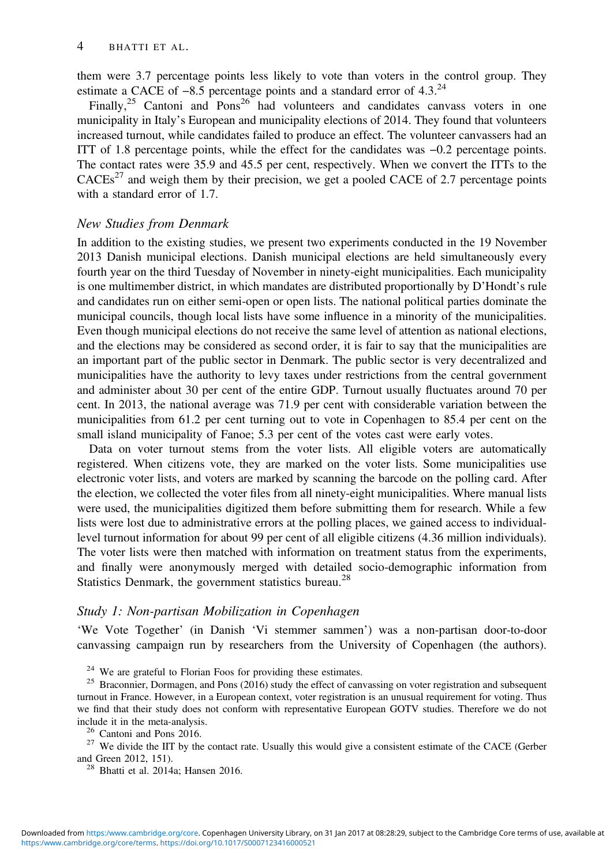them were 3.7 percentage points less likely to vote than voters in the control group. They estimate a CACE of  $-8.5$  percentage points and a standard error of 4.3.<sup>24</sup>

Finally,<sup>25</sup> Cantoni and Pons<sup>26</sup> had volunteers and candidates canvass voters in one municipality in Italy's European and municipality elections of 2014. They found that volunteers increased turnout, while candidates failed to produce an effect. The volunteer canvassers had an ITT of 1.8 percentage points, while the effect for the candidates was −0.2 percentage points. The contact rates were 35.9 and 45.5 per cent, respectively. When we convert the ITTs to the  $CACEs<sup>27</sup>$  and weigh them by their precision, we get a pooled CACE of 2.7 percentage points with a standard error of 1.7.

# New Studies from Denmark

In addition to the existing studies, we present two experiments conducted in the 19 November 2013 Danish municipal elections. Danish municipal elections are held simultaneously every fourth year on the third Tuesday of November in ninety-eight municipalities. Each municipality is one multimember district, in which mandates are distributed proportionally by D'Hondt's rule and candidates run on either semi-open or open lists. The national political parties dominate the municipal councils, though local lists have some influence in a minority of the municipalities. Even though municipal elections do not receive the same level of attention as national elections, and the elections may be considered as second order, it is fair to say that the municipalities are an important part of the public sector in Denmark. The public sector is very decentralized and municipalities have the authority to levy taxes under restrictions from the central government and administer about 30 per cent of the entire GDP. Turnout usually fluctuates around 70 per cent. In 2013, the national average was 71.9 per cent with considerable variation between the municipalities from 61.2 per cent turning out to vote in Copenhagen to 85.4 per cent on the small island municipality of Fanoe; 5.3 per cent of the votes cast were early votes.

Data on voter turnout stems from the voter lists. All eligible voters are automatically registered. When citizens vote, they are marked on the voter lists. Some municipalities use electronic voter lists, and voters are marked by scanning the barcode on the polling card. After the election, we collected the voter files from all ninety-eight municipalities. Where manual lists were used, the municipalities digitized them before submitting them for research. While a few lists were lost due to administrative errors at the polling places, we gained access to individuallevel turnout information for about 99 per cent of all eligible citizens (4.36 million individuals). The voter lists were then matched with information on treatment status from the experiments, and finally were anonymously merged with detailed socio-demographic information from Statistics Denmark, the government statistics bureau.<sup>28</sup>

# Study 1: Non-partisan Mobilization in Copenhagen

'We Vote Together' (in Danish 'Vi stemmer sammen') was a non-partisan door-to-door canvassing campaign run by researchers from the University of Copenhagen (the authors).

<sup>24</sup> We are grateful to Florian Foos for providing these estimates.<br><sup>25</sup> Braconnier, Dormagen, and Pons [\(2016](#page-10-0)) study the effect of canvassing on voter registration and subsequent turnout in France. However, in a European context, voter registration is an unusual requirement for voting. Thus we find that their study does not conform with representative European GOTV studies. Therefore we do not

include it in the meta-analysis.<br><sup>26</sup> Cantoni and Pons [2016](#page-10-0).<br><sup>27</sup> We divide the IIT by the contact rate. Usually this would give a consistent estimate of the CACE (Gerber and Green [2012,](#page-10-0) 151). <sup>28</sup> Bhatti et al. [2014a](#page-9-0); Hansen [2016](#page-10-0).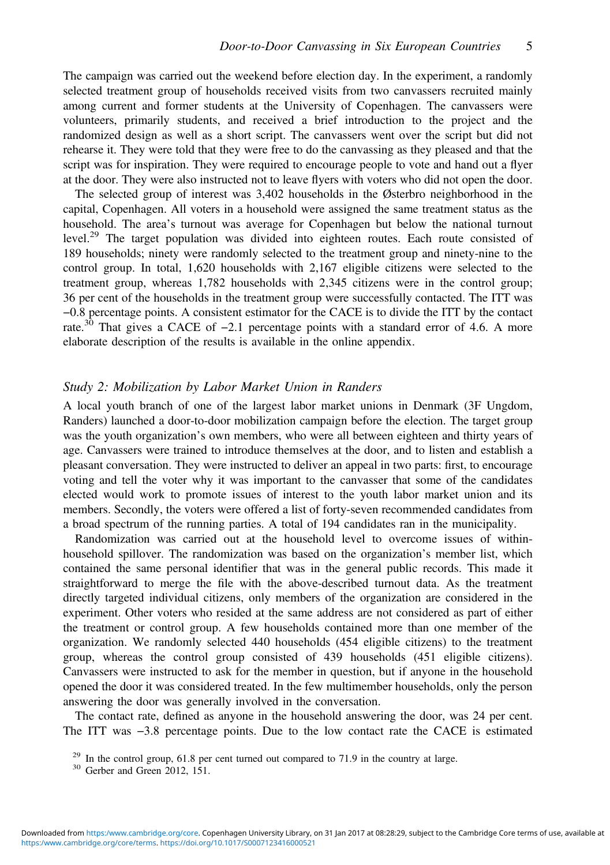The campaign was carried out the weekend before election day. In the experiment, a randomly selected treatment group of households received visits from two canvassers recruited mainly among current and former students at the University of Copenhagen. The canvassers were volunteers, primarily students, and received a brief introduction to the project and the randomized design as well as a short script. The canvassers went over the script but did not rehearse it. They were told that they were free to do the canvassing as they pleased and that the script was for inspiration. They were required to encourage people to vote and hand out a flyer at the door. They were also instructed not to leave flyers with voters who did not open the door.

The selected group of interest was 3,402 households in the Østerbro neighborhood in the capital, Copenhagen. All voters in a household were assigned the same treatment status as the household. The area's turnout was average for Copenhagen but below the national turnout level.<sup>29</sup> The target population was divided into eighteen routes. Each route consisted of 189 households; ninety were randomly selected to the treatment group and ninety-nine to the control group. In total, 1,620 households with 2,167 eligible citizens were selected to the treatment group, whereas 1,782 households with 2,345 citizens were in the control group; 36 per cent of the households in the treatment group were successfully contacted. The ITT was −0.8 percentage points. A consistent estimator for the CACE is to divide the ITT by the contact rate.<sup>30</sup> That gives a CACE of -2.1 percentage points with a standard error of 4.6. A more elaborate description of the results is available in the online appendix.

# Study 2: Mobilization by Labor Market Union in Randers

A local youth branch of one of the largest labor market unions in Denmark (3F Ungdom, Randers) launched a door-to-door mobilization campaign before the election. The target group was the youth organization's own members, who were all between eighteen and thirty years of age. Canvassers were trained to introduce themselves at the door, and to listen and establish a pleasant conversation. They were instructed to deliver an appeal in two parts: first, to encourage voting and tell the voter why it was important to the canvasser that some of the candidates elected would work to promote issues of interest to the youth labor market union and its members. Secondly, the voters were offered a list of forty-seven recommended candidates from a broad spectrum of the running parties. A total of 194 candidates ran in the municipality.

Randomization was carried out at the household level to overcome issues of withinhousehold spillover. The randomization was based on the organization's member list, which contained the same personal identifier that was in the general public records. This made it straightforward to merge the file with the above-described turnout data. As the treatment directly targeted individual citizens, only members of the organization are considered in the experiment. Other voters who resided at the same address are not considered as part of either the treatment or control group. A few households contained more than one member of the organization. We randomly selected 440 households (454 eligible citizens) to the treatment group, whereas the control group consisted of 439 households (451 eligible citizens). Canvassers were instructed to ask for the member in question, but if anyone in the household opened the door it was considered treated. In the few multimember households, only the person answering the door was generally involved in the conversation.

The contact rate, defined as anyone in the household answering the door, was 24 per cent. The ITT was −3.8 percentage points. Due to the low contact rate the CACE is estimated

<sup>&</sup>lt;sup>29</sup> In the control group, 61.8 per cent turned out compared to 71.9 in the country at large.  $30$  Gerber and Green [2012](#page-10-0), 151.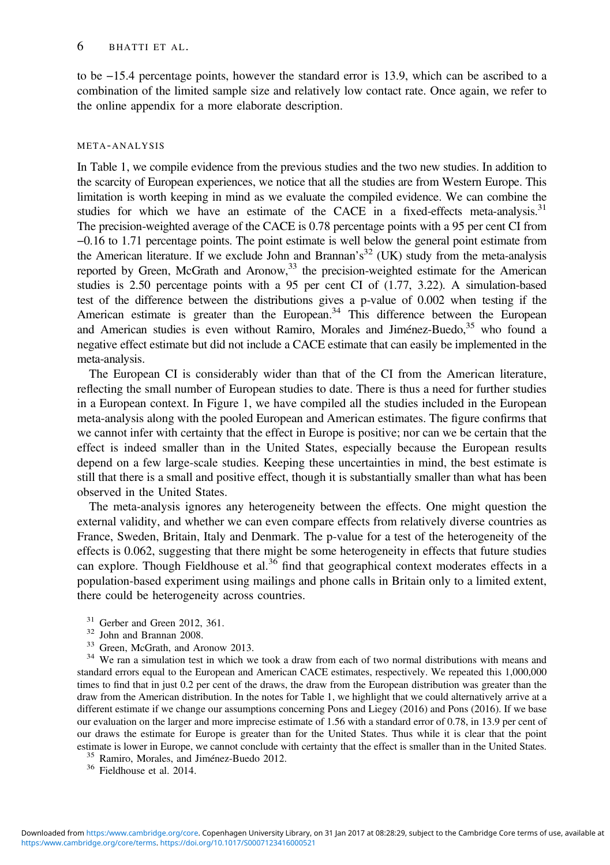to be −15.4 percentage points, however the standard error is 13.9, which can be ascribed to a combination of the limited sample size and relatively low contact rate. Once again, we refer to the online appendix for a more elaborate description.

#### META-ANALYSIS

In Table 1, we compile evidence from the previous studies and the two new studies. In addition to the scarcity of European experiences, we notice that all the studies are from Western Europe. This limitation is worth keeping in mind as we evaluate the compiled evidence. We can combine the studies for which we have an estimate of the CACE in a fixed-effects meta-analysis.<sup>31</sup> The precision-weighted average of the CACE is 0.78 percentage points with a 95 per cent CI from −0.16 to 1.71 percentage points. The point estimate is well below the general point estimate from the American literature. If we exclude John and Brannan's<sup>32</sup> (UK) study from the meta-analysis reported by Green, McGrath and Aronow, $33$  the precision-weighted estimate for the American studies is 2.50 percentage points with a 95 per cent CI of (1.77, 3.22). A simulation-based test of the difference between the distributions gives a p-value of 0.002 when testing if the American estimate is greater than the European.<sup>34</sup> This difference between the European and American studies is even without Ramiro, Morales and Jiménez-Buedo,<sup>35</sup> who found a negative effect estimate but did not include a CACE estimate that can easily be implemented in the meta-analysis.

The European CI is considerably wider than that of the CI from the American literature, reflecting the small number of European studies to date. There is thus a need for further studies in a European context. In [Figure 1](#page-7-0), we have compiled all the studies included in the European meta-analysis along with the pooled European and American estimates. The figure confirms that we cannot infer with certainty that the effect in Europe is positive; nor can we be certain that the effect is indeed smaller than in the United States, especially because the European results depend on a few large-scale studies. Keeping these uncertainties in mind, the best estimate is still that there is a small and positive effect, though it is substantially smaller than what has been observed in the United States.

The meta-analysis ignores any heterogeneity between the effects. One might question the external validity, and whether we can even compare effects from relatively diverse countries as France, Sweden, Britain, Italy and Denmark. The p-value for a test of the heterogeneity of the effects is 0.062, suggesting that there might be some heterogeneity in effects that future studies can explore. Though Fieldhouse et al. $36$  find that geographical context moderates effects in a population-based experiment using mailings and phone calls in Britain only to a limited extent, there could be heterogeneity across countries.

- 
- 
- 

<sup>31</sup> Gerber and Green [2012,](#page-10-0) 361.<br><sup>32</sup> John and Brannan [2008.](#page-11-0)<br><sup>33</sup> Green, McGrath, and Aronow [2013](#page-10-0).<br><sup>34</sup> We ran a simulation test in which we took a draw from each of two normal distributions with means and standard errors equal to the European and American CACE estimates, respectively. We repeated this 1,000,000 times to find that in just 0.2 per cent of the draws, the draw from the European distribution was greater than the draw from the American distribution. In the notes for Table 1, we highlight that we could alternatively arrive at a different estimate if we change our assumptions concerning Pons and Liegey [\(2016](#page-11-0)) and Pons ([2016\)](#page-11-0). If we base our evaluation on the larger and more imprecise estimate of 1.56 with a standard error of 0.78, in 13.9 per cent of our draws the estimate for Europe is greater than for the United States. Thus while it is clear that the point estimate is lower in Europe, we cannot conclude with certainty that the effect is smaller than in the United States.<br><sup>35</sup> Ramiro, Morales, and Jiménez-Buedo [2012.](#page-11-0)<br><sup>36</sup> Fieldhouse et al. [2014.](#page-10-0)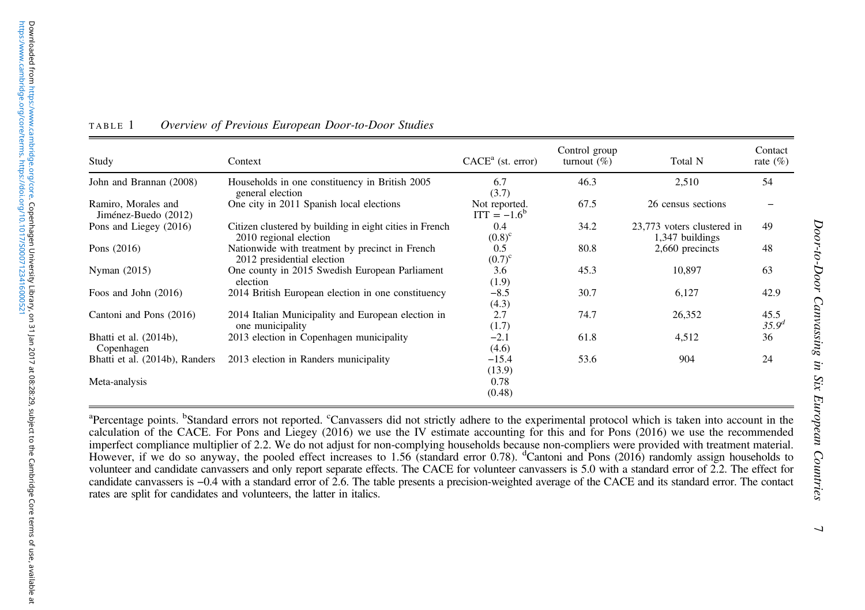| Study                                       | Context                                                                           | $CACEa$ (st. error)             | Control group<br>turnout $(\%)$ | Total N                                       | Contact<br>rate $(\%)$ |
|---------------------------------------------|-----------------------------------------------------------------------------------|---------------------------------|---------------------------------|-----------------------------------------------|------------------------|
| John and Brannan (2008)                     | Households in one constituency in British 2005<br>general election                | 6.7<br>(3.7)                    | 46.3                            | 2,510                                         | 54                     |
| Ramiro, Morales and<br>Jiménez-Buedo (2012) | One city in 2011 Spanish local elections                                          | Not reported.<br>$ITT = -1.6^b$ | 67.5                            | 26 census sections                            |                        |
| Pons and Liegey (2016)                      | Citizen clustered by building in eight cities in French<br>2010 regional election | 0.4<br>$(0.8)^{\circ}$          | 34.2                            | 23,773 voters clustered in<br>1,347 buildings | 49                     |
| Pons $(2016)$                               | Nationwide with treatment by precinct in French<br>2012 presidential election     | 0.5<br>$(0.7)^{c}$              | 80.8                            | 2,660 precincts                               | 48                     |
| Nyman $(2015)$                              | One county in 2015 Swedish European Parliament<br>election                        | 3.6<br>(1.9)                    | 45.3                            | 10,897                                        | 63                     |
| Foos and John $(2016)$                      | 2014 British European election in one constituency                                | $-8.5$<br>(4.3)                 | 30.7                            | 6,127                                         | 42.9                   |
| Cantoni and Pons (2016)                     | 2014 Italian Municipality and European election in<br>one municipality            | 2.7<br>(1.7)                    | 74.7                            | 26,352                                        | 45.5<br>$35.9^{d}$     |
| Bhatti et al. (2014b),<br>Copenhagen        | 2013 election in Copenhagen municipality                                          | $-2.1$<br>(4.6)                 | 61.8                            | 4,512                                         | 36                     |
| Bhatti et al. (2014b), Randers              | 2013 election in Randers municipality                                             | $-15.4$<br>(13.9)               | 53.6                            | 904                                           | 24                     |
| Meta-analysis                               |                                                                                   | 0.78<br>(0.48)                  |                                 |                                               |                        |

TABLE1 Overview of Previous European Door-to-Door Studies

<sup>a</sup>Percentage points. <sup>b</sup>Standard errors not reported. <sup>c</sup>Canvassers did not strictly adhere to the experimental protocol which is taken into account in the calculation of the CACE. For Pons and Liegey ([2016\)](#page-11-0) we use the IV estimate accounting for this and for Pons [\(2016](#page-11-0)) we use the recommended imperfect compliance multiplier of 2.2. We do not adjust for non-complying households because non-compliers were provided with treatment material. However, if we do so anyway, the pooled effect increases to 1.56 (standard error 0.78). <sup>d</sup>Cantoni and Pons [\(2016](#page-10-0)) randomly assign households to volunteer and candidate canvassers and only report separate effects. The CACE for volunteer canvassers is 5.0 with <sup>a</sup> standard error of 2.2. The effect for candidate canvassers is <sup>−</sup>0.4 with <sup>a</sup> standard error of 2.6. The table presents <sup>a</sup> precision-weighted average of the CACE and its standard error. The contact rates are split for candidates and volunteers, the latter in italics.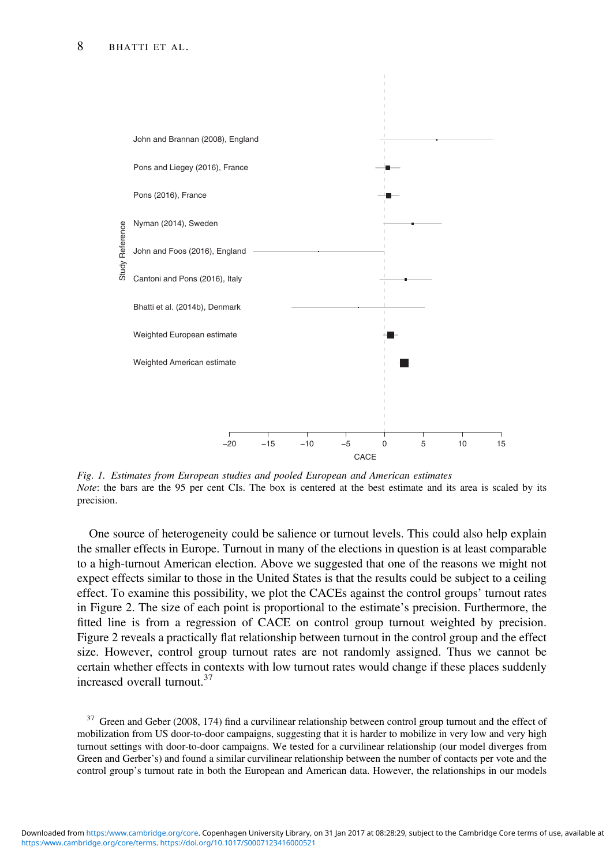<span id="page-7-0"></span>

Fig. 1. Estimates from European studies and pooled European and American estimates Note: the bars are the 95 per cent CIs. The box is centered at the best estimate and its area is scaled by its precision.

One source of heterogeneity could be salience or turnout levels. This could also help explain the smaller effects in Europe. Turnout in many of the elections in question is at least comparable to a high-turnout American election. Above we suggested that one of the reasons we might not expect effects similar to those in the United States is that the results could be subject to a ceiling effect. To examine this possibility, we plot the CACEs against the control groups' turnout rates in [Figure 2.](#page-8-0) The size of each point is proportional to the estimate's precision. Furthermore, the fitted line is from a regression of CACE on control group turnout weighted by precision. [Figure 2](#page-8-0) reveals a practically flat relationship between turnout in the control group and the effect size. However, control group turnout rates are not randomly assigned. Thus we cannot be certain whether effects in contexts with low turnout rates would change if these places suddenly increased overall turnout.<sup>37</sup>

<sup>37</sup> Green and Geber ([2008,](#page-10-0) 174) find a curvilinear relationship between control group turnout and the effect of mobilization from US door-to-door campaigns, suggesting that it is harder to mobilize in very low and very high turnout settings with door-to-door campaigns. We tested for a curvilinear relationship (our model diverges from Green and Gerber's) and found a similar curvilinear relationship between the number of contacts per vote and the control group's turnout rate in both the European and American data. However, the relationships in our models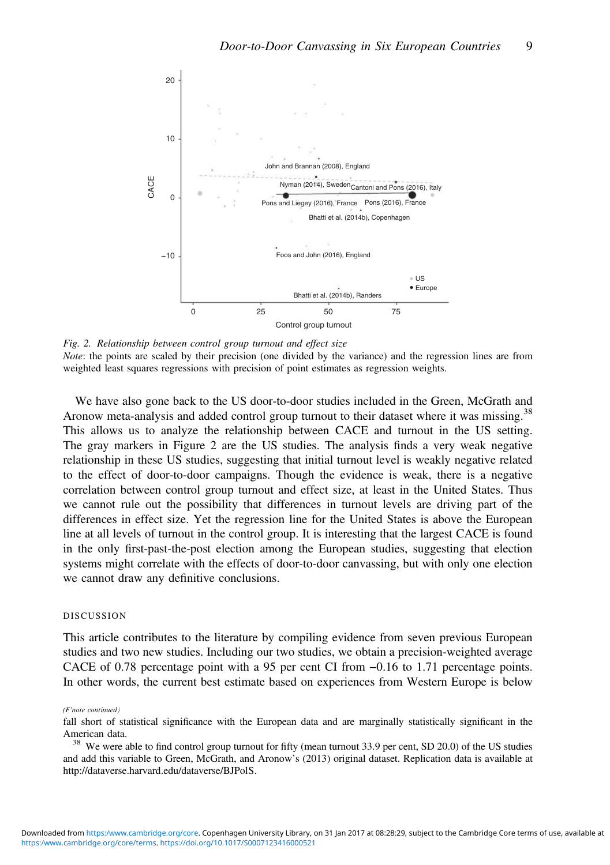<span id="page-8-0"></span>

Fig. 2. Relationship between control group turnout and effect size Note: the points are scaled by their precision (one divided by the variance) and the regression lines are from weighted least squares regressions with precision of point estimates as regression weights.

We have also gone back to the US door-to-door studies included in the Green, McGrath and Aronow meta-analysis and added control group turnout to their dataset where it was missing.<sup>38</sup> This allows us to analyze the relationship between CACE and turnout in the US setting. The gray markers in Figure 2 are the US studies. The analysis finds a very weak negative relationship in these US studies, suggesting that initial turnout level is weakly negative related to the effect of door-to-door campaigns. Though the evidence is weak, there is a negative correlation between control group turnout and effect size, at least in the United States. Thus we cannot rule out the possibility that differences in turnout levels are driving part of the differences in effect size. Yet the regression line for the United States is above the European line at all levels of turnout in the control group. It is interesting that the largest CACE is found in the only first-past-the-post election among the European studies, suggesting that election systems might correlate with the effects of door-to-door canvassing, but with only one election we cannot draw any definitive conclusions.

# DISCUSSION

This article contributes to the literature by compiling evidence from seven previous European studies and two new studies. Including our two studies, we obtain a precision-weighted average CACE of 0.78 percentage point with a 95 per cent CI from −0.16 to 1.71 percentage points. In other words, the current best estimate based on experiences from Western Europe is below

#### (F'note continued)

fall short of statistical significance with the European data and are marginally statistically significant in the American data.<br><sup>38</sup> We were able to find control group turnout for fifty (mean turnout 33.9 per cent, SD 20.0) of the US studies

and add this variable to Green, McGrath, and Aronow's ([2013](#page-10-0)) original dataset. Replication data is available at [http://dataverse.harvard.edu/dataverse/BJPolS.](http://dataverse.harvard.edu/dataverse/BJPolS)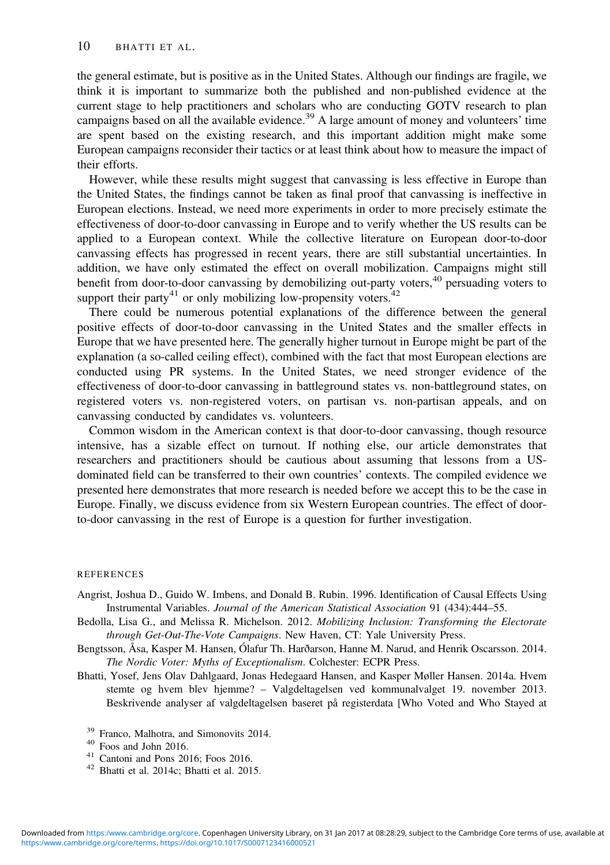<span id="page-9-0"></span>the general estimate, but is positive as in the United States. Although our findings are fragile, we think it is important to summarize both the published and non-published evidence at the current stage to help practitioners and scholars who are conducting GOTV research to plan campaigns based on all the available evidence.<sup>39</sup> A large amount of money and volunteers' time are spent based on the existing research, and this important addition might make some European campaigns reconsider their tactics or at least think about how to measure the impact of their efforts.

However, while these results might suggest that canvassing is less effective in Europe than the United States, the findings cannot be taken as final proof that canvassing is ineffective in European elections. Instead, we need more experiments in order to more precisely estimate the effectiveness of door-to-door canvassing in Europe and to verify whether the US results can be applied to a European context. While the collective literature on European door-to-door canvassing effects has progressed in recent years, there are still substantial uncertainties. In addition, we have only estimated the effect on overall mobilization. Campaigns might still benefit from door-to-door canvassing by demobilizing out-party voters,<sup>40</sup> persuading voters to support their party<sup>41</sup> or only mobilizing low-propensity voters.<sup>42</sup>

There could be numerous potential explanations of the difference between the general positive effects of door-to-door canvassing in the United States and the smaller effects in Europe that we have presented here. The generally higher turnout in Europe might be part of the explanation (a so-called ceiling effect), combined with the fact that most European elections are conducted using PR systems. In the United States, we need stronger evidence of the effectiveness of door-to-door canvassing in battleground states vs. non-battleground states, on registered voters vs. non-registered voters, on partisan vs. non-partisan appeals, and on canvassing conducted by candidates vs. volunteers.

Common wisdom in the American context is that door-to-door canvassing, though resource intensive, has a sizable effect on turnout. If nothing else, our article demonstrates that researchers and practitioners should be cautious about assuming that lessons from a USdominated field can be transferred to their own countries' contexts. The compiled evidence we presented here demonstrates that more research is needed before we accept this to be the case in Europe. Finally, we discuss evidence from six Western European countries. The effect of doorto-door canvassing in the rest of Europe is a question for further investigation.

### **REFERENCES**

- Angrist, Joshua D., Guido W. Imbens, and Donald B. Rubin. 1996. Identification of Causal Effects Using Instrumental Variables. Journal of the American Statistical Association 91 (434):444–55.
- Bedolla, Lisa G., and Melissa R. Michelson. 2012. Mobilizing Inclusion: Transforming the Electorate through Get-Out-The-Vote Campaigns. New Haven, CT: Yale University Press.
- Bengtsson, Åsa, Kasper M. Hansen, Ólafur Th. Harðarson, Hanne M. Narud, and Henrik Oscarsson. 2014. The Nordic Voter: Myths of Exceptionalism. Colchester: ECPR Press.
- Bhatti, Yosef, Jens Olav Dahlgaard, Jonas Hedegaard Hansen, and Kasper Møller Hansen. 2014a. Hvem stemte og hvem blev hjemme? – Valgdeltagelsen ved kommunalvalget 19. november 2013. Beskrivende analyser af valgdeltagelsen baseret på registerdata [Who Voted and Who Stayed at
	-

<sup>39</sup> Franco, Malhotra, and Simonovits [2014](#page-10-0).<br><sup>40</sup> Foos and John [2016](#page-10-0).<br><sup>41</sup> Cantoni and Pons 2016; Foos 2016.<br><sup>42</sup> Bhatti et al. [2014c](#page-10-0); Bhatti et al. [2015](#page-10-0).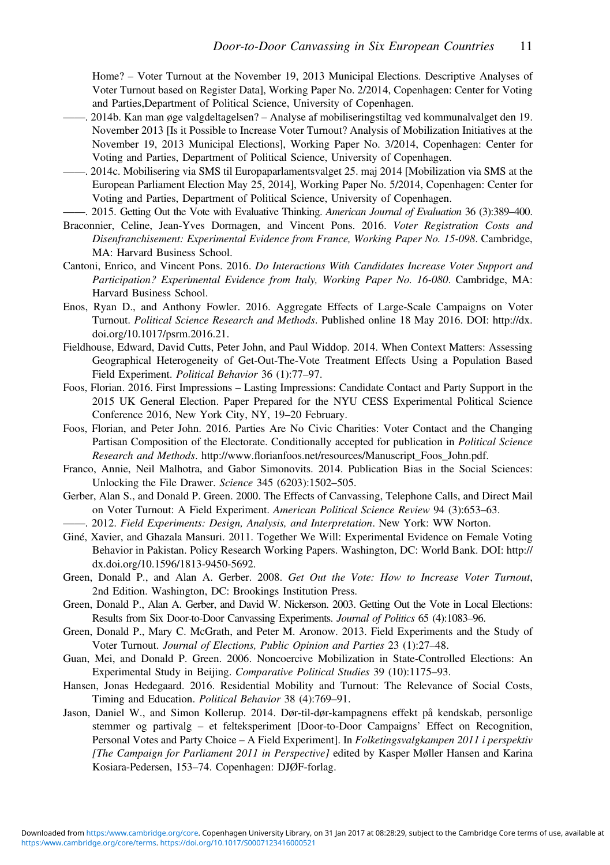<span id="page-10-0"></span>Home? – Voter Turnout at the November 19, 2013 Municipal Elections. Descriptive Analyses of Voter Turnout based on Register Data], Working Paper No. 2/2014, Copenhagen: Center for Voting and Parties,Department of Political Science, University of Copenhagen.

- ——. 2014b. Kan man øge valgdeltagelsen? Analyse af mobiliseringstiltag ved kommunalvalget den 19. November 2013 [Is it Possible to Increase Voter Turnout? Analysis of Mobilization Initiatives at the November 19, 2013 Municipal Elections], Working Paper No. 3/2014, Copenhagen: Center for Voting and Parties, Department of Political Science, University of Copenhagen.
- ——. 2014c. Mobilisering via SMS til Europaparlamentsvalget 25. maj 2014 [Mobilization via SMS at the European Parliament Election May 25, 2014], Working Paper No. 5/2014, Copenhagen: Center for Voting and Parties, Department of Political Science, University of Copenhagen.
- 2015. Getting Out the Vote with Evaluative Thinking. American Journal of Evaluation 36 (3):389-400.
- Braconnier, Celine, Jean-Yves Dormagen, and Vincent Pons. 2016. Voter Registration Costs and Disenfranchisement: Experimental Evidence from France, Working Paper No. 15-098. Cambridge, MA: Harvard Business School.
- Cantoni, Enrico, and Vincent Pons. 2016. Do Interactions With Candidates Increase Voter Support and Participation? Experimental Evidence from Italy, Working Paper No. 16-080. Cambridge, MA: Harvard Business School.
- Enos, Ryan D., and Anthony Fowler. 2016. Aggregate Effects of Large-Scale Campaigns on Voter Turnout. Political Science Research and Methods. Published online 18 May 2016. DOI: [http://dx.](http://dx.doi.org/10.1017/psrm.2016.21) [doi.org/10.1017/psrm.2016.21](http://dx.doi.org/10.1017/psrm.2016.21).
- Fieldhouse, Edward, David Cutts, Peter John, and Paul Widdop. 2014. When Context Matters: Assessing Geographical Heterogeneity of Get-Out-The-Vote Treatment Effects Using a Population Based Field Experiment. Political Behavior 36 (1):77–97.
- Foos, Florian. 2016. First Impressions Lasting Impressions: Candidate Contact and Party Support in the 2015 UK General Election. Paper Prepared for the NYU CESS Experimental Political Science Conference 2016, New York City, NY, 19–20 February.
- Foos, Florian, and Peter John. 2016. Parties Are No Civic Charities: Voter Contact and the Changing Partisan Composition of the Electorate. Conditionally accepted for publication in Political Science Research and Methods. http://www.fl[orianfoos.net/resources/Manuscript\\_Foos\\_John.pdf](http://www.florianfoos.net/resources/Manuscript_Foos_John.pdf).
- Franco, Annie, Neil Malhotra, and Gabor Simonovits. 2014. Publication Bias in the Social Sciences: Unlocking the File Drawer. Science 345 (6203):1502–505.
- Gerber, Alan S., and Donald P. Green. 2000. The Effects of Canvassing, Telephone Calls, and Direct Mail on Voter Turnout: A Field Experiment. American Political Science Review 94 (3):653–63.
- ——. 2012. Field Experiments: Design, Analysis, and Interpretation. New York: WW Norton.
- Giné, Xavier, and Ghazala Mansuri. 2011. Together We Will: Experimental Evidence on Female Voting Behavior in Pakistan. Policy Research Working Papers. Washington, DC: World Bank. DOI: [http://](http://dx.doi.org/10.1596�/�1813-9450-5692) [dx.doi.org/10.1596/1813-9450-5692.](http://dx.doi.org/10.1596�/�1813-9450-5692)
- Green, Donald P., and Alan A. Gerber. 2008. Get Out the Vote: How to Increase Voter Turnout. 2nd Edition. Washington, DC: Brookings Institution Press.
- Green, Donald P., Alan A. Gerber, and David W. Nickerson. 2003. Getting Out the Vote in Local Elections: Results from Six Door-to-Door Canvassing Experiments. Journal of Politics 65 (4):1083–96.
- Green, Donald P., Mary C. McGrath, and Peter M. Aronow. 2013. Field Experiments and the Study of Voter Turnout. Journal of Elections, Public Opinion and Parties 23 (1):27–48.
- Guan, Mei, and Donald P. Green. 2006. Noncoercive Mobilization in State-Controlled Elections: An Experimental Study in Beijing. Comparative Political Studies 39 (10):1175–93.
- Hansen, Jonas Hedegaard. 2016. Residential Mobility and Turnout: The Relevance of Social Costs, Timing and Education. Political Behavior 38 (4):769–91.
- Jason, Daniel W., and Simon Kollerup. 2014. Dør-til-dør-kampagnens effekt på kendskab, personlige stemmer og partivalg – et felteksperiment [Door-to-Door Campaigns' Effect on Recognition, Personal Votes and Party Choice – A Field Experiment]. In Folketingsvalgkampen 2011 i perspektiv [The Campaign for Parliament 2011 in Perspective] edited by Kasper Møller Hansen and Karina Kosiara-Pedersen, 153–74. Copenhagen: DJØF-forlag.